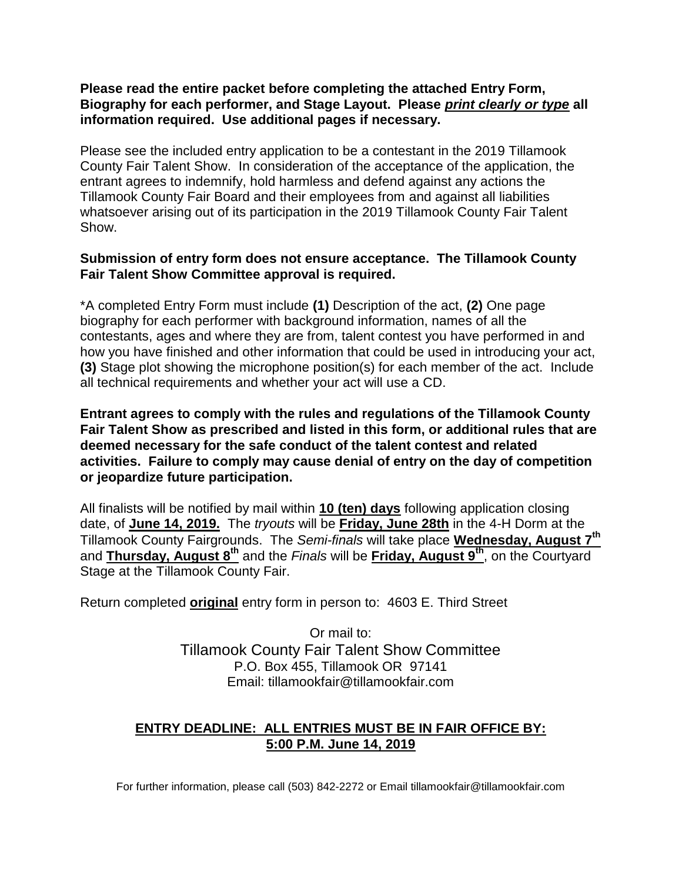#### **Please read the entire packet before completing the attached Entry Form, Biography for each performer, and Stage Layout. Please** *print clearly or type* **all information required. Use additional pages if necessary.**

Please see the included entry application to be a contestant in the 2019 Tillamook County Fair Talent Show. In consideration of the acceptance of the application, the entrant agrees to indemnify, hold harmless and defend against any actions the Tillamook County Fair Board and their employees from and against all liabilities whatsoever arising out of its participation in the 2019 Tillamook County Fair Talent Show.

#### **Submission of entry form does not ensure acceptance. The Tillamook County Fair Talent Show Committee approval is required.**

\*A completed Entry Form must include **(1)** Description of the act, **(2)** One page biography for each performer with background information, names of all the contestants, ages and where they are from, talent contest you have performed in and how you have finished and other information that could be used in introducing your act, **(3)** Stage plot showing the microphone position(s) for each member of the act. Include all technical requirements and whether your act will use a CD.

**Entrant agrees to comply with the rules and regulations of the Tillamook County Fair Talent Show as prescribed and listed in this form, or additional rules that are deemed necessary for the safe conduct of the talent contest and related activities. Failure to comply may cause denial of entry on the day of competition or jeopardize future participation.**

All finalists will be notified by mail within **10 (ten) days** following application closing date, of **June 14, 2019.** The *tryouts* will be **Friday, June 28th** in the 4-H Dorm at the Tillamook County Fairgrounds. The *Semi-finals* will take place **Wednesday, August 7 th** and Thursday, August 8<sup>th</sup> and the *Finals* will be Friday, August 9<sup>th</sup>, on the Courtyard Stage at the Tillamook County Fair.

Return completed **original** entry form in person to: 4603 E. Third Street

Or mail to: Tillamook County Fair Talent Show Committee P.O. Box 455, Tillamook OR 97141 Email: tillamookfair@tillamookfair.com

### **ENTRY DEADLINE: ALL ENTRIES MUST BE IN FAIR OFFICE BY: 5:00 P.M. June 14, 2019**

For further information, please call (503) 842-2272 or Email tillamookfair@tillamookfair.com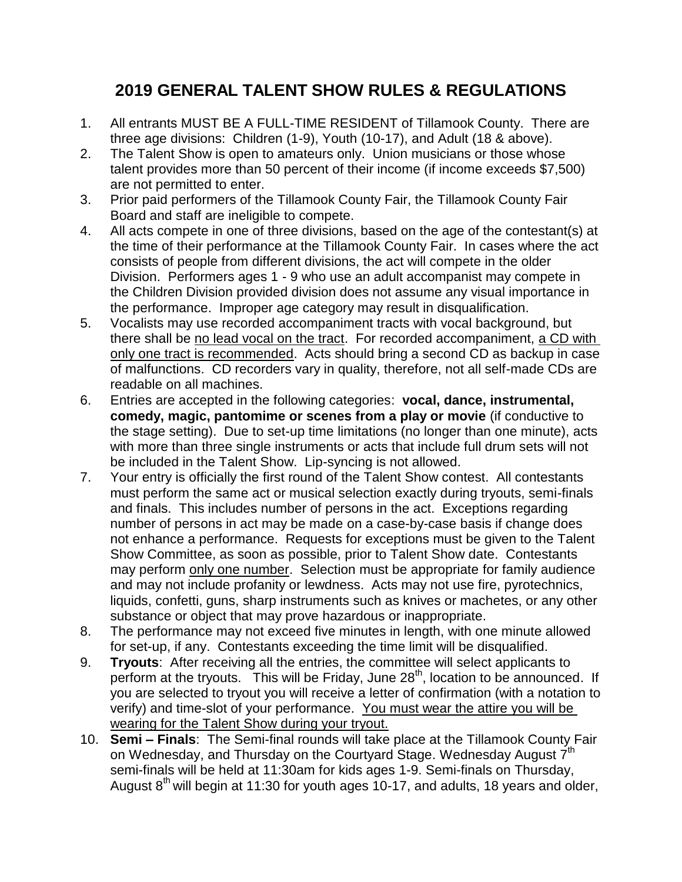# **2019 GENERAL TALENT SHOW RULES & REGULATIONS**

- 1. All entrants MUST BE A FULL-TIME RESIDENT of Tillamook County. There are three age divisions: Children (1-9), Youth (10-17), and Adult (18 & above).
- 2. The Talent Show is open to amateurs only. Union musicians or those whose talent provides more than 50 percent of their income (if income exceeds \$7,500) are not permitted to enter.
- 3. Prior paid performers of the Tillamook County Fair, the Tillamook County Fair Board and staff are ineligible to compete.
- 4. All acts compete in one of three divisions, based on the age of the contestant(s) at the time of their performance at the Tillamook County Fair. In cases where the act consists of people from different divisions, the act will compete in the older Division. Performers ages 1 - 9 who use an adult accompanist may compete in the Children Division provided division does not assume any visual importance in the performance. Improper age category may result in disqualification.
- 5. Vocalists may use recorded accompaniment tracts with vocal background, but there shall be no lead vocal on the tract. For recorded accompaniment, a CD with only one tract is recommended. Acts should bring a second CD as backup in case of malfunctions. CD recorders vary in quality, therefore, not all self-made CDs are readable on all machines.
- 6. Entries are accepted in the following categories: **vocal, dance, instrumental, comedy, magic, pantomime or scenes from a play or movie** (if conductive to the stage setting). Due to set-up time limitations (no longer than one minute), acts with more than three single instruments or acts that include full drum sets will not be included in the Talent Show. Lip-syncing is not allowed.
- 7. Your entry is officially the first round of the Talent Show contest. All contestants must perform the same act or musical selection exactly during tryouts, semi-finals and finals. This includes number of persons in the act. Exceptions regarding number of persons in act may be made on a case-by-case basis if change does not enhance a performance. Requests for exceptions must be given to the Talent Show Committee, as soon as possible, prior to Talent Show date. Contestants may perform only one number. Selection must be appropriate for family audience and may not include profanity or lewdness. Acts may not use fire, pyrotechnics, liquids, confetti, guns, sharp instruments such as knives or machetes, or any other substance or object that may prove hazardous or inappropriate.
- 8. The performance may not exceed five minutes in length, with one minute allowed for set-up, if any. Contestants exceeding the time limit will be disqualified.
- 9. **Tryouts**: After receiving all the entries, the committee will select applicants to perform at the tryouts. This will be Friday, June  $28<sup>th</sup>$ , location to be announced. If you are selected to tryout you will receive a letter of confirmation (with a notation to verify) and time-slot of your performance. You must wear the attire you will be wearing for the Talent Show during your tryout.
- 10. **Semi – Finals**: The Semi-final rounds will take place at the Tillamook County Fair on Wednesday, and Thursday on the Courtyard Stage. Wednesday August  $7<sup>th</sup>$ semi-finals will be held at 11:30am for kids ages 1-9. Semi-finals on Thursday, August  $8<sup>th</sup>$  will begin at 11:30 for youth ages 10-17, and adults, 18 years and older,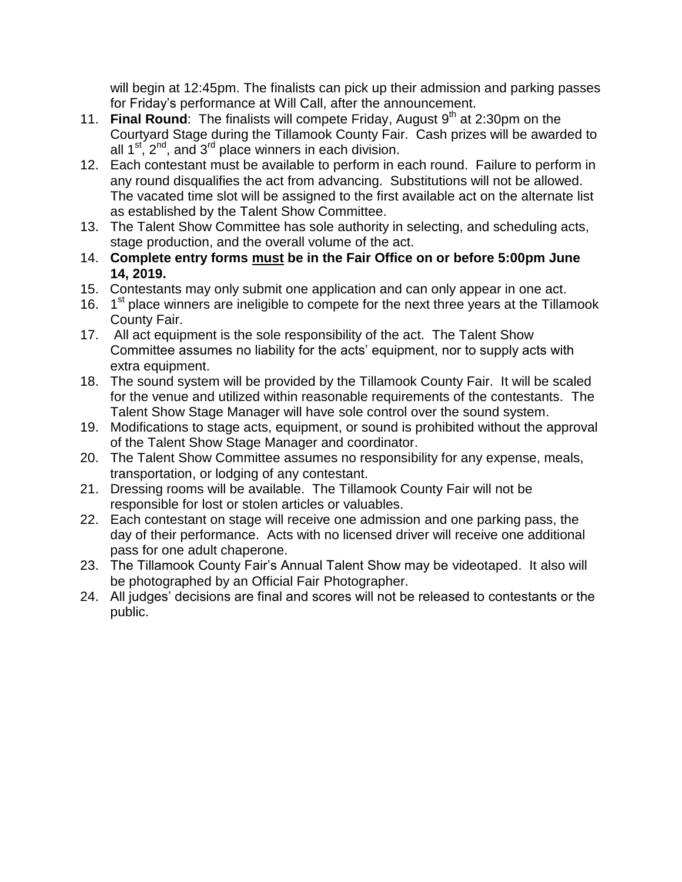will begin at 12:45pm. The finalists can pick up their admission and parking passes for Friday's performance at Will Call, after the announcement.

- 11. Final Round: The finalists will compete Friday, August 9<sup>th</sup> at 2:30pm on the Courtyard Stage during the Tillamook County Fair. Cash prizes will be awarded to all  $1^{st}$ ,  $2^{nd}$ , and  $3^{rd}$  place winners in each division.
- 12. Each contestant must be available to perform in each round. Failure to perform in any round disqualifies the act from advancing. Substitutions will not be allowed. The vacated time slot will be assigned to the first available act on the alternate list as established by the Talent Show Committee.
- 13. The Talent Show Committee has sole authority in selecting, and scheduling acts, stage production, and the overall volume of the act.
- 14. **Complete entry forms must be in the Fair Office on or before 5:00pm June 14, 2019.**
- 15. Contestants may only submit one application and can only appear in one act.
- 16. 1<sup>st</sup> place winners are ineligible to compete for the next three years at the Tillamook County Fair.
- 17. All act equipment is the sole responsibility of the act. The Talent Show Committee assumes no liability for the acts' equipment, nor to supply acts with extra equipment.
- 18. The sound system will be provided by the Tillamook County Fair. It will be scaled for the venue and utilized within reasonable requirements of the contestants. The Talent Show Stage Manager will have sole control over the sound system.
- 19. Modifications to stage acts, equipment, or sound is prohibited without the approval of the Talent Show Stage Manager and coordinator.
- 20. The Talent Show Committee assumes no responsibility for any expense, meals, transportation, or lodging of any contestant.
- 21. Dressing rooms will be available. The Tillamook County Fair will not be responsible for lost or stolen articles or valuables.
- 22. Each contestant on stage will receive one admission and one parking pass, the day of their performance. Acts with no licensed driver will receive one additional pass for one adult chaperone.
- 23. The Tillamook County Fair's Annual Talent Show may be videotaped. It also will be photographed by an Official Fair Photographer.
- 24. All judges' decisions are final and scores will not be released to contestants or the public.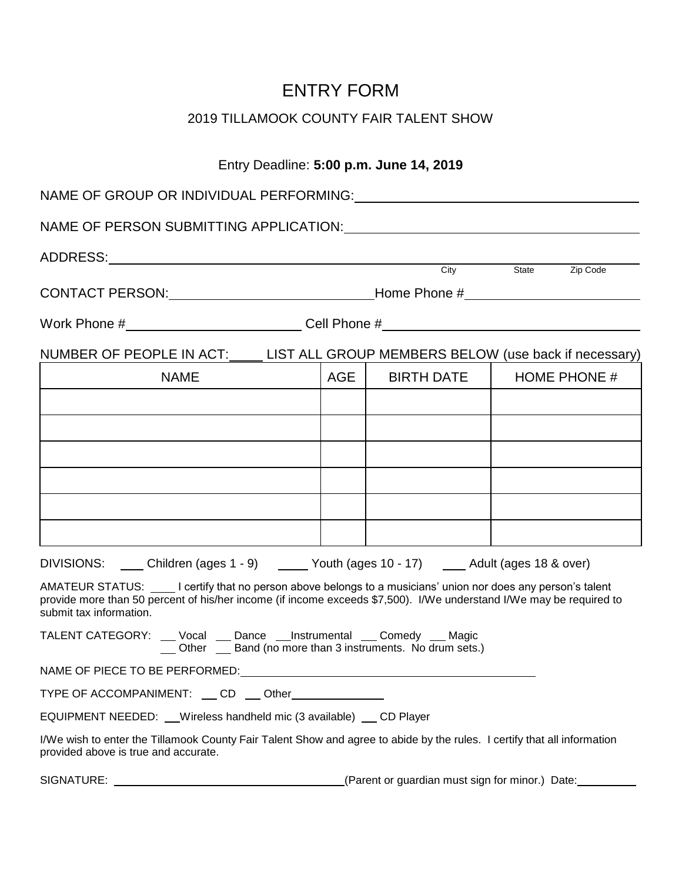# ENTRY FORM

## 2019 TILLAMOOK COUNTY FAIR TALENT SHOW

### Entry Deadline: **5:00 p.m. June 14, 2019**

| NAME OF GROUP OR INDIVIDUAL PERFORMING:                                                                                                                                                                                                                     |     |            |                     |  |
|-------------------------------------------------------------------------------------------------------------------------------------------------------------------------------------------------------------------------------------------------------------|-----|------------|---------------------|--|
| NAME OF PERSON SUBMITTING APPLICATION: University of the state of the state of the state of the state of the state of the state of the state of the state of the state of the state of the state of the state of the state of                               |     |            |                     |  |
|                                                                                                                                                                                                                                                             |     |            |                     |  |
|                                                                                                                                                                                                                                                             |     |            | City State Zip Code |  |
| Work Phone #_______________________________Cell Phone #_________________________                                                                                                                                                                            |     |            |                     |  |
| NUMBER OF PEOPLE IN ACT: LIST ALL GROUP MEMBERS BELOW (use back if necessary)                                                                                                                                                                               |     |            |                     |  |
| <b>NAME</b>                                                                                                                                                                                                                                                 | AGE | BIRTH DATE | HOME PHONE #        |  |
|                                                                                                                                                                                                                                                             |     |            |                     |  |
|                                                                                                                                                                                                                                                             |     |            |                     |  |
|                                                                                                                                                                                                                                                             |     |            |                     |  |
|                                                                                                                                                                                                                                                             |     |            |                     |  |
|                                                                                                                                                                                                                                                             |     |            |                     |  |
|                                                                                                                                                                                                                                                             |     |            |                     |  |
| DIVISIONS: Children (ages 1 - 9) Children (ages 1 - 9) Children (ages 10 - 17) Children (ages 18 & over)                                                                                                                                                    |     |            |                     |  |
| AMATEUR STATUS: Undertify that no person above belongs to a musicians' union nor does any person's talent<br>provide more than 50 percent of his/her income (if income exceeds \$7,500). I/We understand I/We may be required to<br>submit tax information. |     |            |                     |  |
| TALENT CATEGORY: __ Vocal __ Dance __Instrumental __ Comedy __ Magic<br>Other _ Band (no more than 3 instruments. No drum sets.)                                                                                                                            |     |            |                     |  |
| NAME OF PIECE TO BE PERFORMED: NAME OF PIECE TO BE PERFORMED:                                                                                                                                                                                               |     |            |                     |  |
| TYPE OF ACCOMPANIMENT: CD __ Other___________                                                                                                                                                                                                               |     |            |                     |  |
| EQUIPMENT NEEDED: __ Wireless handheld mic (3 available) __ CD Player                                                                                                                                                                                       |     |            |                     |  |
| I/We wish to enter the Tillamook County Fair Talent Show and agree to abide by the rules. I certify that all information<br>provided above is true and accurate.                                                                                            |     |            |                     |  |

SIGNATURE: (Parent or guardian must sign for minor.) Date: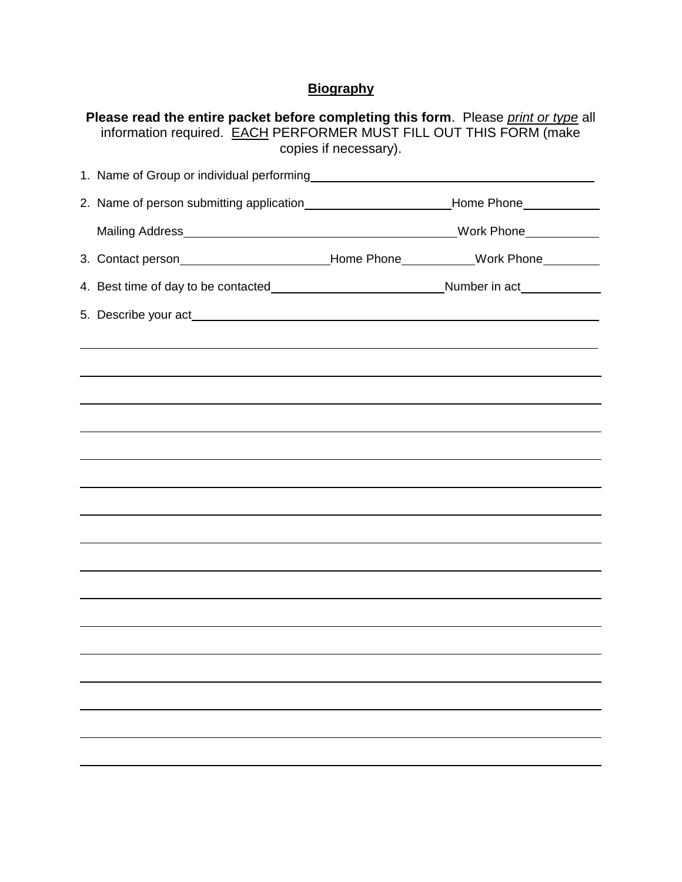## **Biography**

| Please read the entire packet before completing this form. Please print or type all<br>information required. EACH PERFORMER MUST FILL OUT THIS FORM (make<br>copies if necessary). |  |  |  |  |  |
|------------------------------------------------------------------------------------------------------------------------------------------------------------------------------------|--|--|--|--|--|
| 1. Name of Group or individual performing<br>1. Name of Group or individual performing                                                                                             |  |  |  |  |  |
|                                                                                                                                                                                    |  |  |  |  |  |
|                                                                                                                                                                                    |  |  |  |  |  |
| 3. Contact person____________________________Home Phone___________Work Phone_________                                                                                              |  |  |  |  |  |
|                                                                                                                                                                                    |  |  |  |  |  |
|                                                                                                                                                                                    |  |  |  |  |  |
|                                                                                                                                                                                    |  |  |  |  |  |
|                                                                                                                                                                                    |  |  |  |  |  |
|                                                                                                                                                                                    |  |  |  |  |  |
|                                                                                                                                                                                    |  |  |  |  |  |
|                                                                                                                                                                                    |  |  |  |  |  |
|                                                                                                                                                                                    |  |  |  |  |  |
|                                                                                                                                                                                    |  |  |  |  |  |
|                                                                                                                                                                                    |  |  |  |  |  |
|                                                                                                                                                                                    |  |  |  |  |  |
|                                                                                                                                                                                    |  |  |  |  |  |
|                                                                                                                                                                                    |  |  |  |  |  |
|                                                                                                                                                                                    |  |  |  |  |  |
|                                                                                                                                                                                    |  |  |  |  |  |
|                                                                                                                                                                                    |  |  |  |  |  |
|                                                                                                                                                                                    |  |  |  |  |  |
|                                                                                                                                                                                    |  |  |  |  |  |
|                                                                                                                                                                                    |  |  |  |  |  |